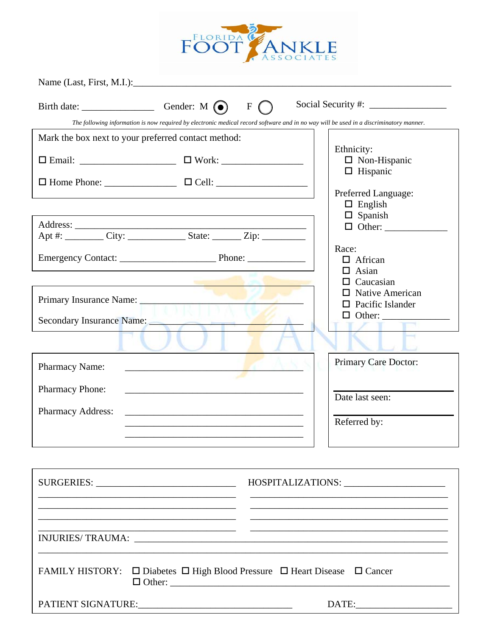

Name (Last, First, M.I.):\_\_\_\_\_\_\_\_\_\_\_\_\_\_\_\_\_\_\_\_\_\_\_\_\_\_\_\_\_\_\_\_\_\_\_\_\_\_\_\_\_\_\_\_\_\_\_\_\_\_\_\_\_\_\_\_\_\_\_\_\_\_\_\_\_\_

| Birth date:                                                                                                                            | Gender: $M(\bullet)$<br>$\mathbf F$                                                                                  |                                                                       |  |  |  |  |
|----------------------------------------------------------------------------------------------------------------------------------------|----------------------------------------------------------------------------------------------------------------------|-----------------------------------------------------------------------|--|--|--|--|
| The following information is now required by electronic medical record software and in no way will be used in a discriminatory manner. |                                                                                                                      |                                                                       |  |  |  |  |
| Mark the box next to your preferred contact method:                                                                                    |                                                                                                                      |                                                                       |  |  |  |  |
|                                                                                                                                        |                                                                                                                      | Ethnicity:<br>$\Box$ Non-Hispanic<br>$\Box$ Hispanic                  |  |  |  |  |
|                                                                                                                                        |                                                                                                                      | Preferred Language:                                                   |  |  |  |  |
|                                                                                                                                        |                                                                                                                      | $\Box$ English<br>$\Box$ Spanish                                      |  |  |  |  |
|                                                                                                                                        | Apt #: ___________ City: ______________________ State: __________ Zip: ___________                                   |                                                                       |  |  |  |  |
|                                                                                                                                        |                                                                                                                      | Race:<br>$\Box$ African<br>Asian<br>LΙ                                |  |  |  |  |
|                                                                                                                                        |                                                                                                                      | $\Box$ Caucasian<br>$\Box$ Native American<br>$\Box$ Pacific Islander |  |  |  |  |
| Secondary Insurance Name: Name:                                                                                                        |                                                                                                                      |                                                                       |  |  |  |  |
|                                                                                                                                        |                                                                                                                      |                                                                       |  |  |  |  |
| <b>Pharmacy Name:</b>                                                                                                                  | the contract of the contract of the contract of the contract of the contract of                                      | Primary Care Doctor:                                                  |  |  |  |  |
| Pharmacy Phone:                                                                                                                        | <u> 1989 - Johann Barbara, marka a shekara tsa 1989 - An tsa 1989 - An tsa 1989 - An tsa 1989 - An tsa 1989 - An</u> | Date last seen:                                                       |  |  |  |  |
| <b>Pharmacy Address:</b>                                                                                                               | the contract of the contract of the contract of the contract of the contract of the contract of                      | Referred by:                                                          |  |  |  |  |
|                                                                                                                                        |                                                                                                                      |                                                                       |  |  |  |  |
|                                                                                                                                        |                                                                                                                      |                                                                       |  |  |  |  |
|                                                                                                                                        | <u> 1989 - Johann Stoff, amerikansk politiker (* 1908)</u>                                                           |                                                                       |  |  |  |  |
|                                                                                                                                        |                                                                                                                      |                                                                       |  |  |  |  |
| FAMILY HISTORY: □ Diabetes □ High Blood Pressure □ Heart Disease □ Cancer                                                              |                                                                                                                      |                                                                       |  |  |  |  |

PATIENT SIGNATURE:\_\_\_\_\_\_\_\_\_\_\_\_\_\_\_\_\_\_\_\_\_\_\_\_\_\_\_\_\_\_\_\_ DATE:\_\_\_\_\_\_\_\_\_\_\_\_\_\_\_\_\_\_\_\_